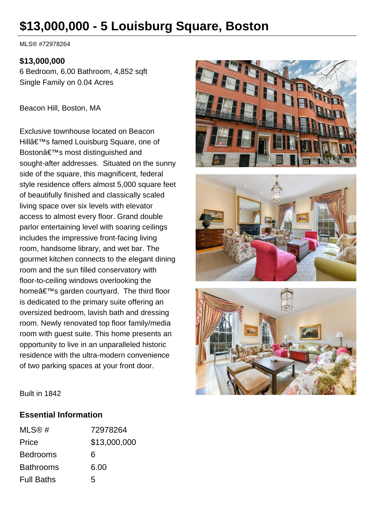# **\$13,000,000 - 5 Louisburg Square, Boston**

MLS® #72978264

#### **\$13,000,000**

6 Bedroom, 6.00 Bathroom, 4,852 sqft Single Family on 0.04 Acres

Beacon Hill, Boston, MA

Exclusive townhouse located on Beacon Hill's famed Louisburg Square, one of Boston's most distinguished and sought-after addresses. Situated on the sunny side of the square, this magnificent, federal style residence offers almost 5,000 square feet of beautifully finished and classically scaled living space over six levels with elevator access to almost every floor. Grand double parlor entertaining level with soaring ceilings includes the impressive front-facing living room, handsome library, and wet bar. The gourmet kitchen connects to the elegant dining room and the sun filled conservatory with floor-to-ceiling windows overlooking the home's garden courtyard. The third floor is dedicated to the primary suite offering an oversized bedroom, lavish bath and dressing room. Newly renovated top floor family/media room with guest suite. This home presents an opportunity to live in an unparalleled historic residence with the ultra-modern convenience of two parking spaces at your front door.







Built in 1842

#### **Essential Information**

| MLS@#             | 72978264     |
|-------------------|--------------|
| Price             | \$13,000,000 |
| <b>Bedrooms</b>   | 6            |
| <b>Bathrooms</b>  | 6.00         |
| <b>Full Baths</b> | 5            |